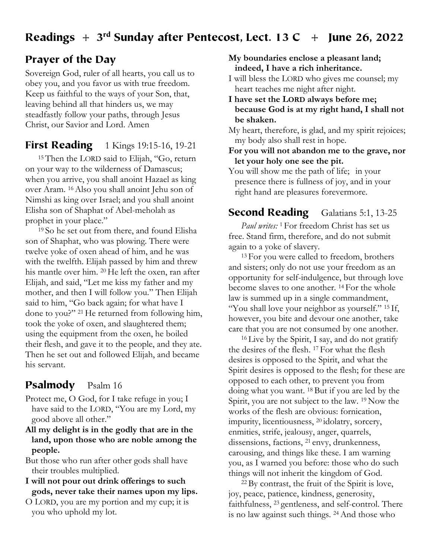## Readings  $+ 3<sup>rd</sup>$  Sunday after Pentecost, Lect. 13 C  $+$  June 26, 2022

## Prayer of the Day

Sovereign God, ruler of all hearts, you call us to obey you, and you favor us with true freedom. Keep us faithful to the ways of your Son, that, leaving behind all that hinders us, we may steadfastly follow your paths, through Jesus Christ, our Savior and Lord. Amen

### **First Reading** 1 Kings 19:15-16, 19-21

15 Then the LORD said to Elijah, "Go, return on your way to the wilderness of Damascus; when you arrive, you shall anoint Hazael as king over Aram. 16 Also you shall anoint Jehu son of Nimshi as king over Israel; and you shall anoint Elisha son of Shaphat of Abel-meholah as prophet in your place."

19 So he set out from there, and found Elisha son of Shaphat, who was plowing. There were twelve yoke of oxen ahead of him, and he was with the twelfth. Elijah passed by him and threw his mantle over him. 20 He left the oxen, ran after Elijah, and said, "Let me kiss my father and my mother, and then I will follow you." Then Elijah said to him, "Go back again; for what have I done to you?" 21 He returned from following him, took the yoke of oxen, and slaughtered them; using the equipment from the oxen, he boiled their flesh, and gave it to the people, and they ate. Then he set out and followed Elijah, and became his servant.

## Psalmody Psalm 16

Protect me, O God, for I take refuge in you; I have said to the LORD, "You are my Lord, my good above all other."

- **All my delight is in the godly that are in the land, upon those who are noble among the people.**
- But those who run after other gods shall have their troubles multiplied.
- **I will not pour out drink offerings to such gods, never take their names upon my lips.**
- O LORD, you are my portion and my cup; it is you who uphold my lot.

**My boundaries enclose a pleasant land; indeed, I have a rich inheritance.**

- I will bless the LORD who gives me counsel; my heart teaches me night after night.
- **I have set the LORD always before me; because God is at my right hand, I shall not be shaken.**

My heart, therefore, is glad, and my spirit rejoices; my body also shall rest in hope.

- **For you will not abandon me to the grave, nor let your holy one see the pit.**
- You will show me the path of life; in your presence there is fullness of joy, and in your right hand are pleasures forevermore.

# Second Reading Galatians 5:1, 13-25

*Paul writes:* 1 For freedom Christ has set us free. Stand firm, therefore, and do not submit again to a yoke of slavery.

<sup>13</sup> For you were called to freedom, brothers and sisters; only do not use your freedom as an opportunity for self-indulgence, but through love become slaves to one another. 14 For the whole law is summed up in a single commandment, "You shall love your neighbor as yourself." <sup>15</sup> If, however, you bite and devour one another, take care that you are not consumed by one another.

<sup>16</sup> Live by the Spirit, I say, and do not gratify the desires of the flesh. 17 For what the flesh desires is opposed to the Spirit, and what the Spirit desires is opposed to the flesh; for these are opposed to each other, to prevent you from doing what you want. 18 But if you are led by the Spirit, you are not subject to the law. 19 Now the works of the flesh are obvious: fornication, impurity, licentiousness, 20 idolatry, sorcery, enmities, strife, jealousy, anger, quarrels, dissensions, factions, 21 envy, drunkenness, carousing, and things like these. I am warning you, as I warned you before: those who do such things will not inherit the kingdom of God.

22 By contrast, the fruit of the Spirit is love, joy, peace, patience, kindness, generosity, faithfulness, 23 gentleness, and self-control. There is no law against such things. 24 And those who